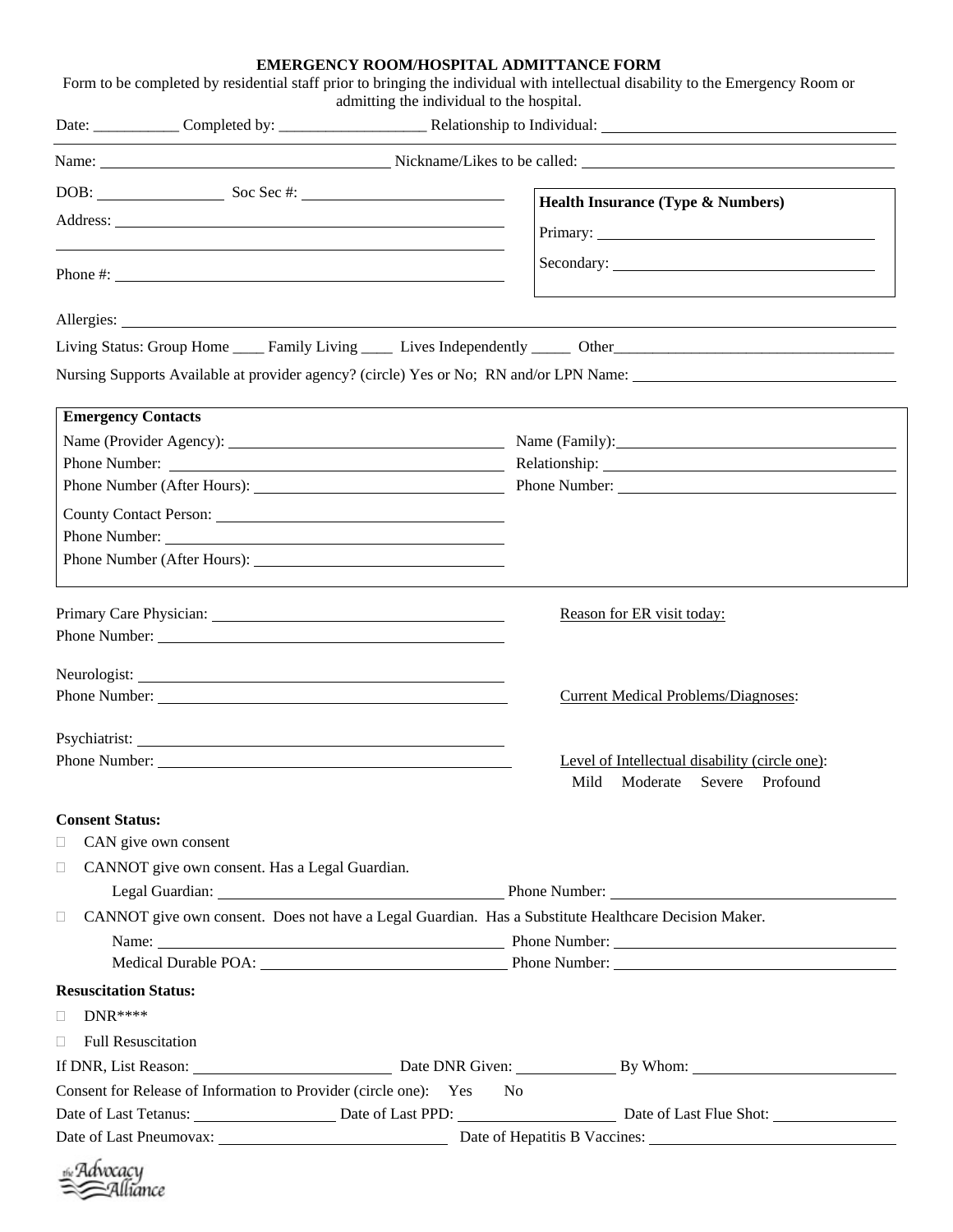## **EMERGENCY ROOM/HOSPITAL ADMITTANCE FORM**

Form to be completed by residential staff prior to bringing the individual with intellectual disability to the Emergency Room or admitting the individual to the hospital. Date: Completed by: <br>
Relationship to Individual:

|                                                                                                                                                                                                                                | Health Insurance (Type & Numbers)                                                                                                                                                                                              |
|--------------------------------------------------------------------------------------------------------------------------------------------------------------------------------------------------------------------------------|--------------------------------------------------------------------------------------------------------------------------------------------------------------------------------------------------------------------------------|
|                                                                                                                                                                                                                                |                                                                                                                                                                                                                                |
|                                                                                                                                                                                                                                |                                                                                                                                                                                                                                |
| Phone $\#$ :                                                                                                                                                                                                                   |                                                                                                                                                                                                                                |
|                                                                                                                                                                                                                                |                                                                                                                                                                                                                                |
|                                                                                                                                                                                                                                |                                                                                                                                                                                                                                |
| Nursing Supports Available at provider agency? (circle) Yes or No; RN and/or LPN Name:                                                                                                                                         |                                                                                                                                                                                                                                |
| <b>Emergency Contacts</b>                                                                                                                                                                                                      |                                                                                                                                                                                                                                |
|                                                                                                                                                                                                                                |                                                                                                                                                                                                                                |
|                                                                                                                                                                                                                                | Relationship: Network of the state of the state of the state of the state of the state of the state of the state of the state of the state of the state of the state of the state of the state of the state of the state of th |
|                                                                                                                                                                                                                                |                                                                                                                                                                                                                                |
|                                                                                                                                                                                                                                |                                                                                                                                                                                                                                |
|                                                                                                                                                                                                                                |                                                                                                                                                                                                                                |
|                                                                                                                                                                                                                                |                                                                                                                                                                                                                                |
|                                                                                                                                                                                                                                | Reason for ER visit today:                                                                                                                                                                                                     |
| Phone Number:                                                                                                                                                                                                                  |                                                                                                                                                                                                                                |
|                                                                                                                                                                                                                                |                                                                                                                                                                                                                                |
|                                                                                                                                                                                                                                | <b>Current Medical Problems/Diagnoses:</b>                                                                                                                                                                                     |
|                                                                                                                                                                                                                                |                                                                                                                                                                                                                                |
|                                                                                                                                                                                                                                | Level of Intellectual disability (circle one):                                                                                                                                                                                 |
|                                                                                                                                                                                                                                | Mild<br>Moderate<br>Severe<br>Profound                                                                                                                                                                                         |
| <b>Consent Status:</b>                                                                                                                                                                                                         |                                                                                                                                                                                                                                |
| CAN give own consent<br>$\Box$                                                                                                                                                                                                 |                                                                                                                                                                                                                                |
| CANNOT give own consent. Has a Legal Guardian.<br>$\Box$                                                                                                                                                                       |                                                                                                                                                                                                                                |
|                                                                                                                                                                                                                                | Legal Guardian: Phone Number: Phone Number:                                                                                                                                                                                    |
| CANNOT give own consent. Does not have a Legal Guardian. Has a Substitute Healthcare Decision Maker.<br>$\Box$                                                                                                                 |                                                                                                                                                                                                                                |
|                                                                                                                                                                                                                                | Name: Name: Name: Name: Name: Name: Name: Name: Name: Name: Name: Name: Name: Name: Name: Name: Name: Name: Name: Name: Name: Name: Name: Name: Name: Name: Name: Name: Name: Name: Name: Name: Name: Name: Name: Name: Name:  |
|                                                                                                                                                                                                                                | Medical Durable POA: Phone Number:                                                                                                                                                                                             |
| <b>Resuscitation Status:</b>                                                                                                                                                                                                   |                                                                                                                                                                                                                                |
| $DNR***$<br>$\Box$                                                                                                                                                                                                             |                                                                                                                                                                                                                                |
| <b>Full Resuscitation</b><br>$\Box$                                                                                                                                                                                            |                                                                                                                                                                                                                                |
| If DNR, List Reason: 1990. [16] Date DNR Given: 1990. [26] By Whom: 1990. [26] Date DNR Given: 1990. [26] By Whom: 1990. [26] Date DNR Given: 1990. [26] By Whom: 1990. [26] Date DNR Given: 1990. [26] By Whom: 1990. [26] Da |                                                                                                                                                                                                                                |
| Consent for Release of Information to Provider (circle one): Yes                                                                                                                                                               | N <sub>o</sub>                                                                                                                                                                                                                 |
| Date of Last Tetanus: Date of Last PPD: Date of Last PPD: Date of Last Flue Shot:                                                                                                                                              |                                                                                                                                                                                                                                |
|                                                                                                                                                                                                                                |                                                                                                                                                                                                                                |
|                                                                                                                                                                                                                                |                                                                                                                                                                                                                                |